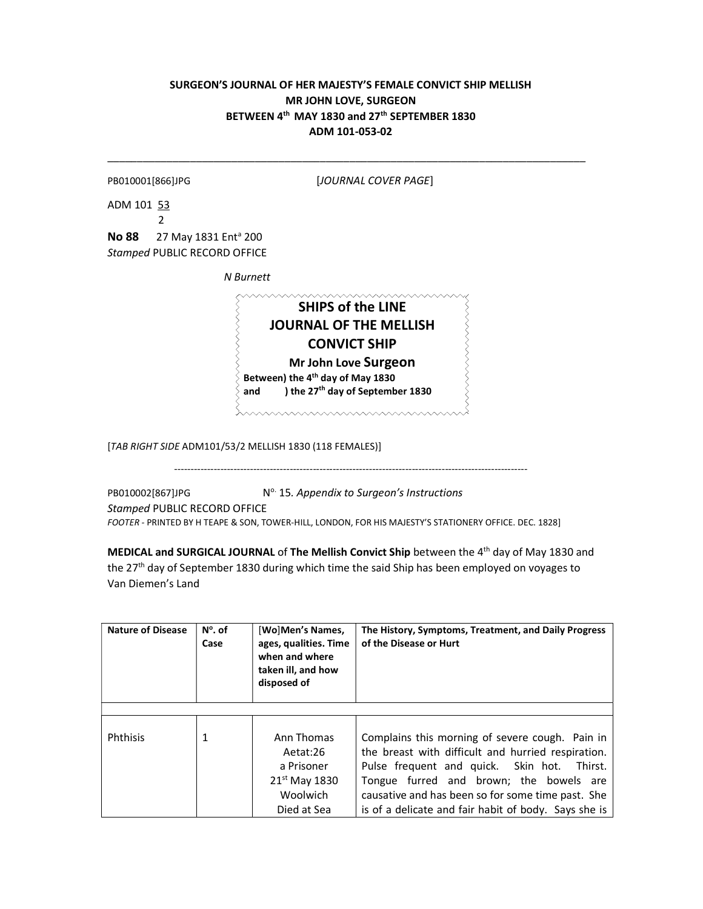## SURGEON'S JOURNAL OF HER MAJESTY'S FEMALE CONVICT SHIP MELLISH MR JOHN LOVE, SURGEON BETWEEN 4<sup>th</sup> MAY 1830 and 27<sup>th</sup> SEPTEMBER 1830 ADM 101-053-02

\_\_\_\_\_\_\_\_\_\_\_\_\_\_\_\_\_\_\_\_\_\_\_\_\_\_\_\_\_\_\_\_\_\_\_\_\_\_\_\_\_\_\_\_\_\_\_\_\_\_\_\_\_\_\_\_\_\_\_\_\_\_\_\_\_\_\_\_\_\_\_\_\_\_\_\_\_\_\_\_\_

| PB010001[866]JPG |  |
|------------------|--|
|------------------|--|

[JOURNAL COVER PAGE]

ADM 101 53 2

No 88 27 May 1831 Ent<sup>a</sup> 200 Stamped PUBLIC RECORD OFFICE

N Burnett

ships of the LINE JOURNAL OF THE MELLISH CONVICT SHIP Mr John Love Surgeon Between) the 4<sup>th</sup> day of May 1830 and ) the 27<sup>th</sup> day of September 1830

www.www.www.www.

[TAB RIGHT SIDE ADM101/53/2 MELLISH 1830 (118 FEMALES)]

-----------------------------------------------------------------------------------------------------------

PB010002[867]JPG  $N^{\circ}$  15. Appendix to Surgeon's Instructions Stamped PUBLIC RECORD OFFICE FOOTER - PRINTED BY H TEAPE & SON, TOWER-HILL, LONDON, FOR HIS MAJESTY'S STATIONERY OFFICE. DEC. 1828]

MEDICAL and SURGICAL JOURNAL of The Mellish Convict Ship between the 4<sup>th</sup> day of May 1830 and the 27<sup>th</sup> day of September 1830 during which time the said Ship has been employed on voyages to Van Diemen's Land

| <b>Nature of Disease</b> | $N^{\circ}$ . of<br>Case | [Wo]Men's Names,<br>ages, qualities. Time<br>when and where<br>taken ill, and how<br>disposed of | The History, Symptoms, Treatment, and Daily Progress<br>of the Disease or Hurt                                                                                                                                                                                                                               |
|--------------------------|--------------------------|--------------------------------------------------------------------------------------------------|--------------------------------------------------------------------------------------------------------------------------------------------------------------------------------------------------------------------------------------------------------------------------------------------------------------|
|                          |                          |                                                                                                  |                                                                                                                                                                                                                                                                                                              |
| Phthisis                 | 1                        | Ann Thomas<br>Aetat:26<br>a Prisoner<br>21 <sup>st</sup> May 1830<br>Woolwich<br>Died at Sea     | Complains this morning of severe cough. Pain in<br>the breast with difficult and hurried respiration.<br>Pulse frequent and quick. Skin hot. Thirst.<br>Tongue furred and brown; the bowels are<br>causative and has been so for some time past. She<br>is of a delicate and fair habit of body. Says she is |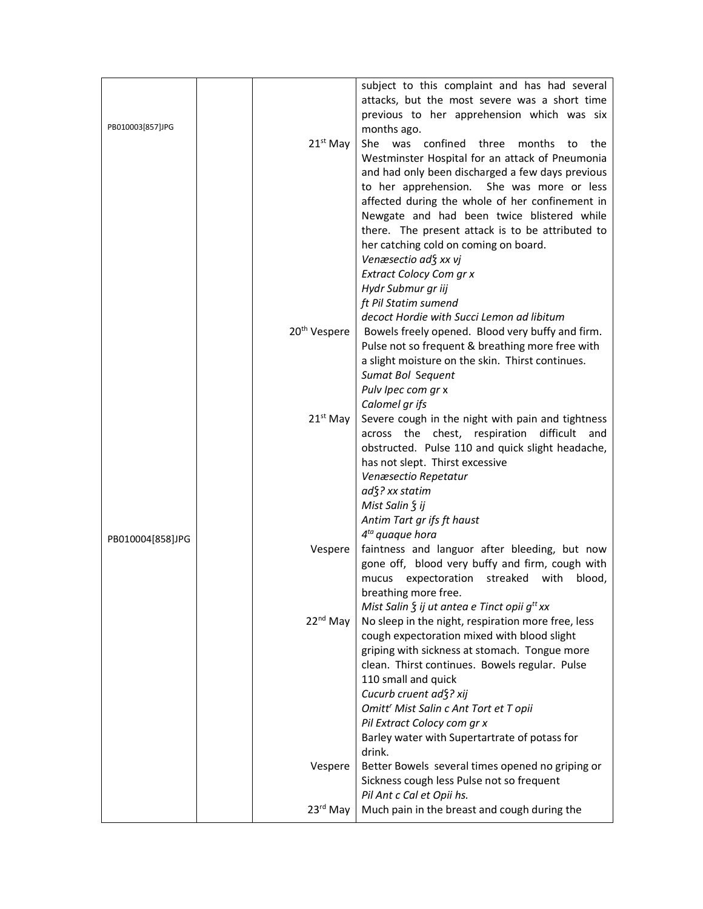|                  |                          | subject to this complaint and has had several           |
|------------------|--------------------------|---------------------------------------------------------|
|                  |                          | attacks, but the most severe was a short time           |
|                  |                          | previous to her apprehension which was six              |
| PB010003[857]JPG |                          | months ago.                                             |
|                  |                          |                                                         |
|                  | $21^{st}$ May            | She was confined three<br>months to<br>the              |
|                  |                          | Westminster Hospital for an attack of Pneumonia         |
|                  |                          | and had only been discharged a few days previous        |
|                  |                          | to her apprehension. She was more or less               |
|                  |                          | affected during the whole of her confinement in         |
|                  |                          | Newgate and had been twice blistered while              |
|                  |                          | there. The present attack is to be attributed to        |
|                  |                          | her catching cold on coming on board.                   |
|                  |                          | Venæsectio ad§ xx vj                                    |
|                  |                          | Extract Colocy Com gr x                                 |
|                  |                          | Hydr Submur gr iij                                      |
|                  |                          | ft Pil Statim sumend                                    |
|                  |                          | decoct Hordie with Succi Lemon ad libitum               |
|                  | 20 <sup>th</sup> Vespere | Bowels freely opened. Blood very buffy and firm.        |
|                  |                          | Pulse not so frequent & breathing more free with        |
|                  |                          | a slight moisture on the skin. Thirst continues.        |
|                  |                          | Sumat Bol Sequent                                       |
|                  |                          | Pulv Ipec com gr x                                      |
|                  |                          | Calomel gr ifs                                          |
|                  | $21st$ May               | Severe cough in the night with pain and tightness       |
|                  |                          | across the chest, respiration<br>difficult<br>and       |
|                  |                          | obstructed. Pulse 110 and quick slight headache,        |
|                  |                          | has not slept. Thirst excessive                         |
|                  |                          | Venæsectio Repetatur                                    |
|                  |                          | ad{? xx statim                                          |
|                  |                          | Mist Salin § ij                                         |
|                  |                          | Antim Tart gr ifs ft haust                              |
| PB010004[858]JPG |                          | $4^{ta}$ quaque hora                                    |
|                  | Vespere                  | faintness and languor after bleeding, but now           |
|                  |                          | gone off, blood very buffy and firm, cough with         |
|                  |                          | mucus expectoration streaked with<br>blood,             |
|                  |                          | breathing more free.                                    |
|                  |                          | Mist Salin $\zeta$ ij ut antea e Tinct opii $g^{tt}$ xx |
|                  | $22nd$ May               | No sleep in the night, respiration more free, less      |
|                  |                          | cough expectoration mixed with blood slight             |
|                  |                          | griping with sickness at stomach. Tongue more           |
|                  |                          | clean. Thirst continues. Bowels regular. Pulse          |
|                  |                          | 110 small and quick                                     |
|                  |                          | Cucurb cruent ad §? xij                                 |
|                  |                          | Omitt' Mist Salin c Ant Tort et T opii                  |
|                  |                          | Pil Extract Colocy com gr x                             |
|                  |                          | Barley water with Supertartrate of potass for           |
|                  |                          | drink.                                                  |
|                  | Vespere                  | Better Bowels several times opened no griping or        |
|                  |                          | Sickness cough less Pulse not so frequent               |
|                  |                          | Pil Ant c Cal et Opii hs.                               |
|                  | $23rd$ May               | Much pain in the breast and cough during the            |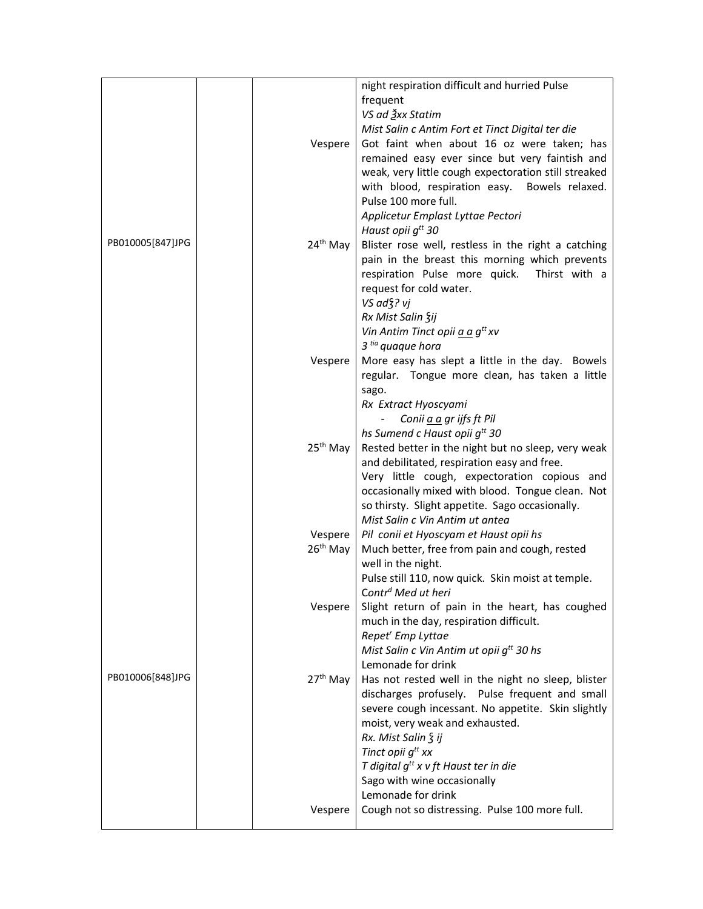|                  |                      | night respiration difficult and hurried Pulse        |
|------------------|----------------------|------------------------------------------------------|
|                  |                      |                                                      |
|                  |                      | frequent                                             |
|                  |                      | VS ad 3xx Statim                                     |
|                  |                      | Mist Salin c Antim Fort et Tinct Digital ter die     |
|                  | Vespere              | Got faint when about 16 oz were taken; has           |
|                  |                      | remained easy ever since but very faintish and       |
|                  |                      | weak, very little cough expectoration still streaked |
|                  |                      | with blood, respiration easy. Bowels relaxed.        |
|                  |                      | Pulse 100 more full.                                 |
|                  |                      |                                                      |
|                  |                      | Applicetur Emplast Lyttae Pectori                    |
|                  |                      | Haust opii g <sup>tt</sup> 30                        |
| PB010005[847]JPG | 24 <sup>th</sup> May | Blister rose well, restless in the right a catching  |
|                  |                      | pain in the breast this morning which prevents       |
|                  |                      | respiration Pulse more quick.<br>Thirst with a       |
|                  |                      | request for cold water.                              |
|                  |                      |                                                      |
|                  |                      | VS ad §? vj                                          |
|                  |                      | Rx Mist Salin Sij                                    |
|                  |                      | Vin Antim Tinct opii a a g <sup>tt</sup> xv          |
|                  |                      | 3 <sup>tia</sup> quaque hora                         |
|                  | Vespere              | More easy has slept a little in the day. Bowels      |
|                  |                      | regular. Tongue more clean, has taken a little       |
|                  |                      | sago.                                                |
|                  |                      |                                                      |
|                  |                      | Rx Extract Hyoscyami                                 |
|                  |                      | Conii a a gr ijfs ft Pil                             |
|                  |                      | hs Sumend c Haust opii g <sup>tt</sup> 30            |
|                  | $25th$ May           | Rested better in the night but no sleep, very weak   |
|                  |                      | and debilitated, respiration easy and free.          |
|                  |                      | Very little cough, expectoration copious and         |
|                  |                      | occasionally mixed with blood. Tongue clean. Not     |
|                  |                      |                                                      |
|                  |                      | so thirsty. Slight appetite. Sago occasionally.      |
|                  |                      | Mist Salin c Vin Antim ut antea                      |
|                  | Vespere              | Pil conii et Hyoscyam et Haust opii hs               |
|                  | $26th$ May           | Much better, free from pain and cough, rested        |
|                  |                      | well in the night.                                   |
|                  |                      | Pulse still 110, now quick. Skin moist at temple.    |
|                  |                      | Contr <sup>d</sup> Med ut heri                       |
|                  | Vespere              | Slight return of pain in the heart, has coughed      |
|                  |                      |                                                      |
|                  |                      | much in the day, respiration difficult.              |
|                  |                      | Repet <sup>'</sup> Emp Lyttae                        |
|                  |                      | Mist Salin c Vin Antim ut opii g <sup>tt</sup> 30 hs |
|                  |                      | Lemonade for drink                                   |
| PB010006[848]JPG | $27th$ May           | Has not rested well in the night no sleep, blister   |
|                  |                      | discharges profusely. Pulse frequent and small       |
|                  |                      | severe cough incessant. No appetite. Skin slightly   |
|                  |                      |                                                      |
|                  |                      | moist, very weak and exhausted.                      |
|                  |                      | Rx. Mist Salin § ij                                  |
|                  |                      | Tinct opii g <sup>tt</sup> xx                        |
|                  |                      | T digital $g^{tt}$ x v ft Haust ter in die           |
|                  |                      | Sago with wine occasionally                          |
|                  |                      | Lemonade for drink                                   |
|                  | Vespere              | Cough not so distressing. Pulse 100 more full.       |
|                  |                      |                                                      |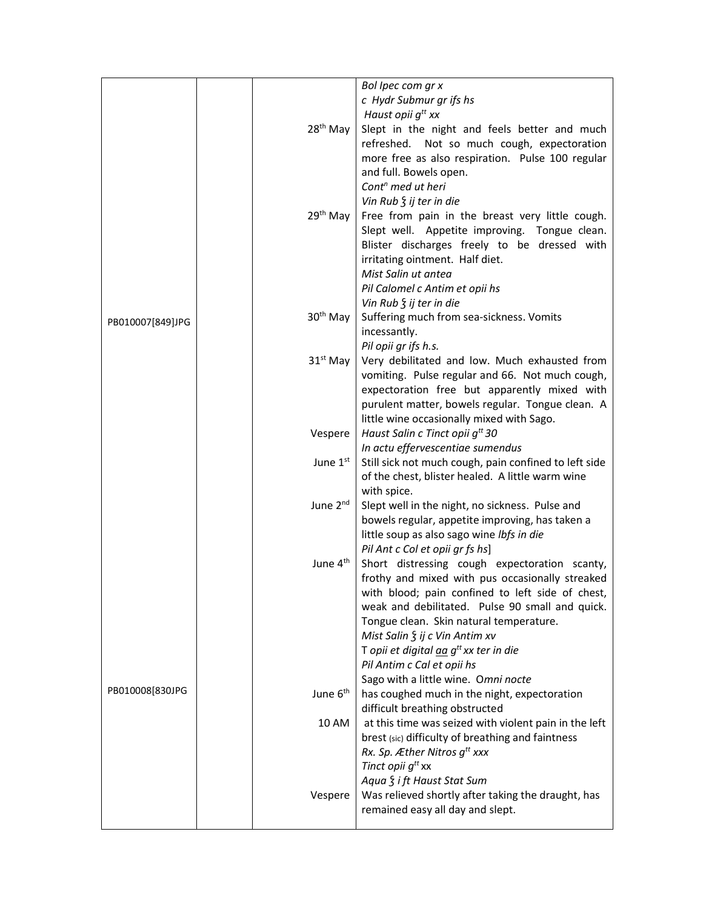|                  |                      | Bol Ipec com gr x<br>c Hydr Submur gr ifs hs                                                              |
|------------------|----------------------|-----------------------------------------------------------------------------------------------------------|
|                  |                      | Haust opii g <sup>tt</sup> xx                                                                             |
|                  | 28 <sup>th</sup> May | Slept in the night and feels better and much                                                              |
|                  |                      | refreshed. Not so much cough, expectoration                                                               |
|                  |                      | more free as also respiration. Pulse 100 regular                                                          |
|                  |                      | and full. Bowels open.                                                                                    |
|                  |                      | Cont <sup>n</sup> med ut heri                                                                             |
|                  |                      | Vin Rub $\frac{1}{2}$ ij ter in die                                                                       |
|                  | 29 <sup>th</sup> May | Free from pain in the breast very little cough.                                                           |
|                  |                      | Slept well. Appetite improving. Tongue clean.                                                             |
|                  |                      | Blister discharges freely to be dressed with<br>irritating ointment. Half diet.                           |
|                  |                      | Mist Salin ut antea                                                                                       |
|                  |                      | Pil Calomel c Antim et opii hs                                                                            |
|                  |                      | Vin Rub $\frac{1}{2}$ ij ter in die                                                                       |
|                  | 30 <sup>th</sup> May | Suffering much from sea-sickness. Vomits                                                                  |
| PB010007[849]JPG |                      | incessantly.                                                                                              |
|                  |                      | Pil opii gr ifs h.s.                                                                                      |
|                  | $31st$ May           | Very debilitated and low. Much exhausted from                                                             |
|                  |                      | vomiting. Pulse regular and 66. Not much cough,                                                           |
|                  |                      | expectoration free but apparently mixed with                                                              |
|                  |                      | purulent matter, bowels regular. Tongue clean. A                                                          |
|                  |                      | little wine occasionally mixed with Sago.                                                                 |
|                  | Vespere              | Haust Salin c Tinct opii g <sup>tt</sup> 30                                                               |
|                  |                      | In actu effervescentiae sumendus                                                                          |
|                  | June 1 <sup>st</sup> | Still sick not much cough, pain confined to left side<br>of the chest, blister healed. A little warm wine |
|                  |                      | with spice.                                                                                               |
|                  | June 2 <sup>nd</sup> | Slept well in the night, no sickness. Pulse and                                                           |
|                  |                      | bowels regular, appetite improving, has taken a                                                           |
|                  |                      | little soup as also sago wine lbfs in die                                                                 |
|                  |                      | Pil Ant c Col et opii gr fs hs]                                                                           |
|                  | June 4 <sup>th</sup> | Short distressing cough expectoration scanty,                                                             |
|                  |                      | frothy and mixed with pus occasionally streaked                                                           |
|                  |                      | with blood; pain confined to left side of chest,                                                          |
|                  |                      | weak and debilitated. Pulse 90 small and quick.                                                           |
|                  |                      | Tongue clean. Skin natural temperature.                                                                   |
|                  |                      | Mist Salin § ij c Vin Antim xv                                                                            |
|                  |                      | T opii et digital aa $q^{tt}$ xx ter in die                                                               |
|                  |                      | Pil Antim c Cal et opii hs<br>Sago with a little wine. Omni nocte                                         |
| PB010008[830JPG  | June 6 <sup>th</sup> | has coughed much in the night, expectoration                                                              |
|                  |                      | difficult breathing obstructed                                                                            |
|                  | 10 AM                | at this time was seized with violent pain in the left                                                     |
|                  |                      | brest (sic) difficulty of breathing and faintness                                                         |
|                  |                      | Rx. Sp. Æther Nitros g <sup>tt</sup> xxx                                                                  |
|                  |                      | Tinct opii g <sup>tt</sup> xx                                                                             |
|                  |                      | Aqua § i ft Haust Stat Sum                                                                                |
|                  | Vespere              | Was relieved shortly after taking the draught, has                                                        |
|                  |                      | remained easy all day and slept.                                                                          |
|                  |                      |                                                                                                           |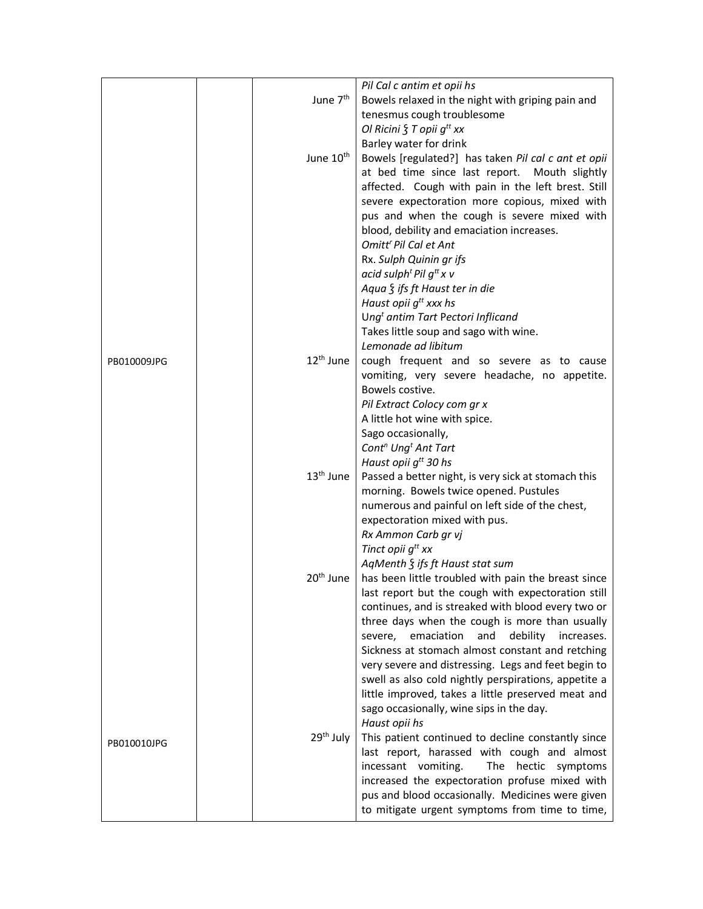|             | June 7 <sup>th</sup>  | Pil Cal c antim et opii hs<br>Bowels relaxed in the night with griping pain and                         |
|-------------|-----------------------|---------------------------------------------------------------------------------------------------------|
|             |                       | tenesmus cough troublesome                                                                              |
|             |                       | Ol Ricini $\S$ T opii $g^{tt}$ xx                                                                       |
|             |                       | Barley water for drink                                                                                  |
|             | June 10 <sup>th</sup> | Bowels [regulated?] has taken Pil cal c ant et opii                                                     |
|             |                       | at bed time since last report. Mouth slightly                                                           |
|             |                       | affected. Cough with pain in the left brest. Still                                                      |
|             |                       | severe expectoration more copious, mixed with                                                           |
|             |                       | pus and when the cough is severe mixed with<br>blood, debility and emaciation increases.                |
|             |                       | Omitt <sup>r</sup> Pil Cal et Ant                                                                       |
|             |                       | Rx. Sulph Quinin gr ifs                                                                                 |
|             |                       | acid sulph <sup>t</sup> Pil $g^{tt}x$ v                                                                 |
|             |                       | Aqua § ifs ft Haust ter in die                                                                          |
|             |                       | Haust opii $g^{tt}$ xxx hs                                                                              |
|             |                       | Ung <sup>t</sup> antim Tart Pectori Inflicand                                                           |
|             |                       | Takes little soup and sago with wine.                                                                   |
|             |                       | Lemonade ad libitum                                                                                     |
| PB010009JPG | 12 <sup>th</sup> June | cough frequent and so severe as to cause                                                                |
|             |                       | vomiting, very severe headache, no appetite.<br>Bowels costive.                                         |
|             |                       | Pil Extract Colocy com gr x                                                                             |
|             |                       | A little hot wine with spice.                                                                           |
|             |                       | Sago occasionally,                                                                                      |
|             |                       | Cont <sup>n</sup> Ung <sup>t</sup> Ant Tart                                                             |
|             |                       | Haust opii g <sup>tt</sup> 30 hs                                                                        |
|             | 13 <sup>th</sup> June | Passed a better night, is very sick at stomach this                                                     |
|             |                       | morning. Bowels twice opened. Pustules                                                                  |
|             |                       | numerous and painful on left side of the chest,                                                         |
|             |                       | expectoration mixed with pus.<br>Rx Ammon Carb gr vj                                                    |
|             |                       | Tinct opii g <sup>tt</sup> xx                                                                           |
|             |                       | AgMenth § ifs ft Haust stat sum                                                                         |
|             | 20 <sup>th</sup> June | has been little troubled with pain the breast since                                                     |
|             |                       | last report but the cough with expectoration still                                                      |
|             |                       | continues, and is streaked with blood every two or                                                      |
|             |                       | three days when the cough is more than usually                                                          |
|             |                       | emaciation<br>and<br>debility<br>severe,<br>increases.                                                  |
|             |                       | Sickness at stomach almost constant and retching<br>very severe and distressing. Legs and feet begin to |
|             |                       | swell as also cold nightly perspirations, appetite a                                                    |
|             |                       | little improved, takes a little preserved meat and                                                      |
|             |                       | sago occasionally, wine sips in the day.                                                                |
|             |                       | Haust opii hs                                                                                           |
| PB010010JPG | 29 <sup>th</sup> July | This patient continued to decline constantly since                                                      |
|             |                       | last report, harassed with cough and almost                                                             |
|             |                       | The hectic<br>incessant vomiting.<br>symptoms                                                           |
|             |                       | increased the expectoration profuse mixed with                                                          |
|             |                       | pus and blood occasionally. Medicines were given                                                        |
|             |                       | to mitigate urgent symptoms from time to time,                                                          |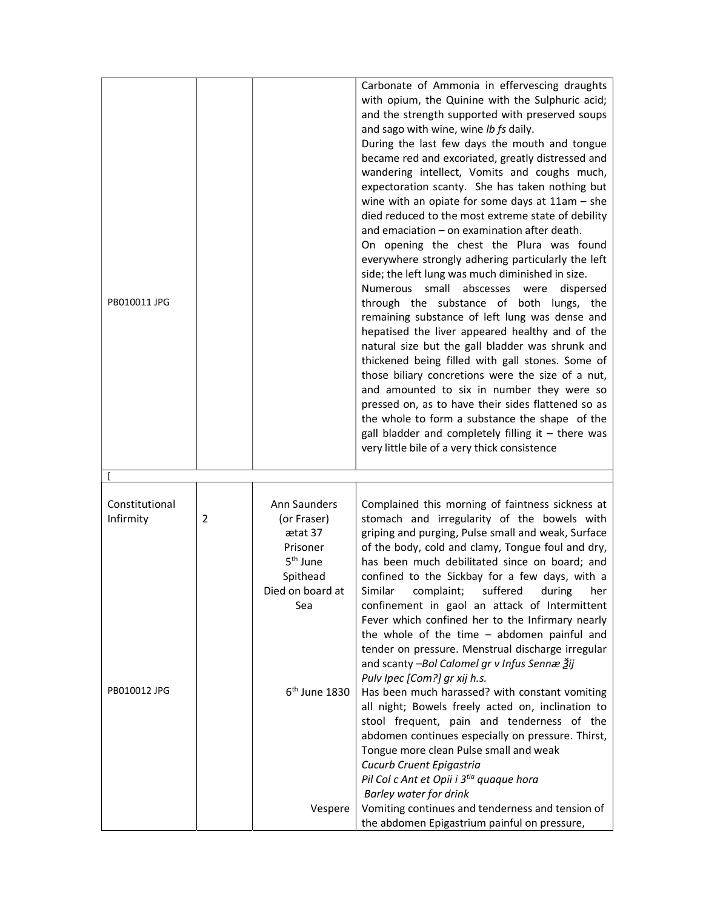| PB010011 JPG                |                |                                                                            | Carbonate of Ammonia in effervescing draughts<br>with opium, the Quinine with the Sulphuric acid;<br>and the strength supported with preserved soups<br>and sago with wine, wine lb fs daily.<br>During the last few days the mouth and tongue<br>became red and excoriated, greatly distressed and<br>wandering intellect, Vomits and coughs much,<br>expectoration scanty. She has taken nothing but<br>wine with an opiate for some days at $11am - she$<br>died reduced to the most extreme state of debility<br>and emaciation - on examination after death.<br>On opening the chest the Plura was found<br>everywhere strongly adhering particularly the left<br>side; the left lung was much diminished in size.<br>Numerous small abscesses were<br>dispersed<br>through the substance of both lungs, the<br>remaining substance of left lung was dense and<br>hepatised the liver appeared healthy and of the<br>natural size but the gall bladder was shrunk and<br>thickened being filled with gall stones. Some of<br>those biliary concretions were the size of a nut,<br>and amounted to six in number they were so<br>pressed on, as to have their sides flattened so as<br>the whole to form a substance the shape of the<br>gall bladder and completely filling it $-$ there was<br>very little bile of a very thick consistence |
|-----------------------------|----------------|----------------------------------------------------------------------------|---------------------------------------------------------------------------------------------------------------------------------------------------------------------------------------------------------------------------------------------------------------------------------------------------------------------------------------------------------------------------------------------------------------------------------------------------------------------------------------------------------------------------------------------------------------------------------------------------------------------------------------------------------------------------------------------------------------------------------------------------------------------------------------------------------------------------------------------------------------------------------------------------------------------------------------------------------------------------------------------------------------------------------------------------------------------------------------------------------------------------------------------------------------------------------------------------------------------------------------------------------------------------------------------------------------------------------------------------|
| Constitutional<br>Infirmity | $\overline{2}$ | Ann Saunders<br>(or Fraser)<br>ætat 37<br>Prisoner<br>5 <sup>th</sup> June | Complained this morning of faintness sickness at<br>stomach and irregularity of the bowels with<br>griping and purging, Pulse small and weak, Surface<br>of the body, cold and clamy, Tongue foul and dry,<br>has been much debilitated since on board; and                                                                                                                                                                                                                                                                                                                                                                                                                                                                                                                                                                                                                                                                                                                                                                                                                                                                                                                                                                                                                                                                                       |
| PB010012 JPG                |                | Spithead<br>Died on board at<br>Sea<br>6 <sup>th</sup> June 1830           | confined to the Sickbay for a few days, with a<br>Similar complaint; suffered during her<br>confinement in gaol an attack of Intermittent<br>Fever which confined her to the Infirmary nearly<br>the whole of the time $-$ abdomen painful and<br>tender on pressure. Menstrual discharge irregular<br>and scanty -Bol Calomel gr v Infus Sennæ Žij<br>Pulv Ipec [Com?] gr xij h.s.<br>Has been much harassed? with constant vomiting<br>all night; Bowels freely acted on, inclination to<br>stool frequent, pain and tenderness of the<br>abdomen continues especially on pressure. Thirst,                                                                                                                                                                                                                                                                                                                                                                                                                                                                                                                                                                                                                                                                                                                                                     |
|                             |                | Vespere                                                                    | Tongue more clean Pulse small and weak<br>Cucurb Cruent Epigastria<br>Pil Col c Ant et Opii i 3tia quaque hora<br>Barley water for drink<br>Vomiting continues and tenderness and tension of<br>the abdomen Epigastrium painful on pressure,                                                                                                                                                                                                                                                                                                                                                                                                                                                                                                                                                                                                                                                                                                                                                                                                                                                                                                                                                                                                                                                                                                      |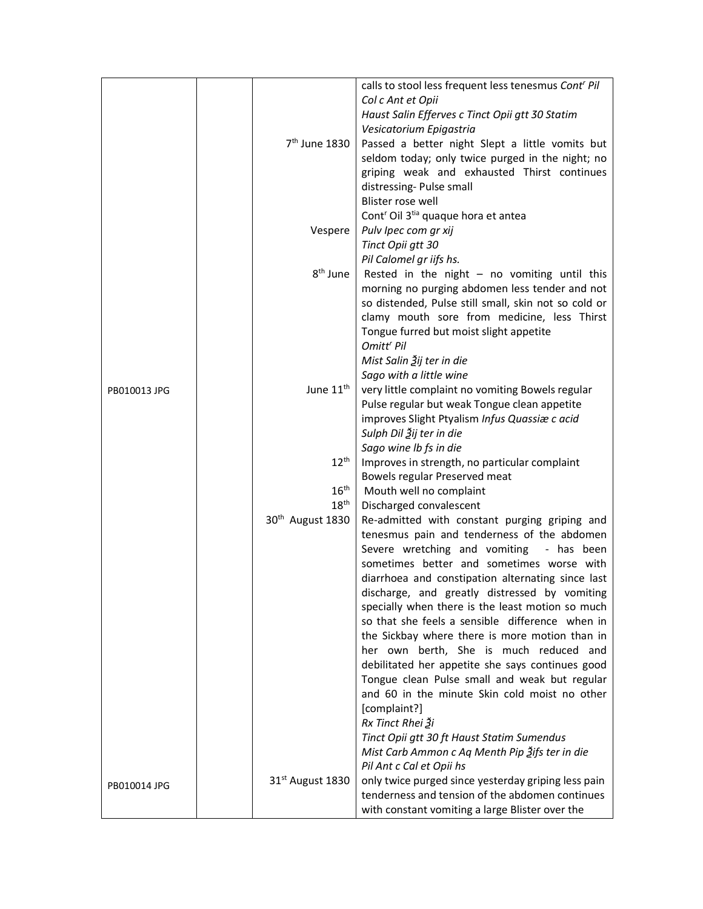|              |                              | calls to stool less frequent less tenesmus Cont' Pil                                  |
|--------------|------------------------------|---------------------------------------------------------------------------------------|
|              |                              | Col c Ant et Opii                                                                     |
|              |                              | Haust Salin Efferves c Tinct Opii gtt 30 Statim                                       |
|              |                              | Vesicatorium Epigastria                                                               |
|              | 7 <sup>th</sup> June 1830    | Passed a better night Slept a little vomits but                                       |
|              |                              | seldom today; only twice purged in the night; no                                      |
|              |                              | griping weak and exhausted Thirst continues                                           |
|              |                              | distressing-Pulse small                                                               |
|              |                              | Blister rose well                                                                     |
|              |                              | Cont <sup>r</sup> Oil 3 <sup>tia</sup> quaque hora et antea                           |
|              | Vespere                      | Pulv Ipec com gr xij                                                                  |
|              |                              | Tinct Opii gtt 30                                                                     |
|              |                              | Pil Calomel gr iifs hs.                                                               |
|              | 8 <sup>th</sup> June         | Rested in the night $-$ no vomiting until this                                        |
|              |                              | morning no purging abdomen less tender and not                                        |
|              |                              | so distended, Pulse still small, skin not so cold or                                  |
|              |                              | clamy mouth sore from medicine, less Thirst                                           |
|              |                              | Tongue furred but moist slight appetite                                               |
|              |                              | Omitt <sup>r</sup> Pil                                                                |
|              |                              | Mist Salin Ѯij ter in die                                                             |
|              |                              | Sago with a little wine                                                               |
| PB010013 JPG | June 11 <sup>th</sup>        | very little complaint no vomiting Bowels regular                                      |
|              |                              | Pulse regular but weak Tongue clean appetite                                          |
|              |                              | improves Slight Ptyalism Infus Quassiæ c acid                                         |
|              |                              | Sulph Dil Ѯij ter in die                                                              |
|              |                              | Sago wine Ib fs in die                                                                |
|              | $12^{\text{th}}$             | Improves in strength, no particular complaint                                         |
|              |                              | Bowels regular Preserved meat                                                         |
|              | $16^{\text{th}}$             | Mouth well no complaint                                                               |
|              | $18^{\text{th}}$             | Discharged convalescent                                                               |
|              | 30 <sup>th</sup> August 1830 | Re-admitted with constant purging griping and                                         |
|              |                              | tenesmus pain and tenderness of the abdomen                                           |
|              |                              |                                                                                       |
|              |                              | Severe wretching and vomiting - has been<br>sometimes better and sometimes worse with |
|              |                              |                                                                                       |
|              |                              | diarrhoea and constipation alternating since last                                     |
|              |                              | discharge, and greatly distressed by vomiting                                         |
|              |                              | specially when there is the least motion so much                                      |
|              |                              | so that she feels a sensible difference when in                                       |
|              |                              | the Sickbay where there is more motion than in                                        |
|              |                              | her own berth, She is much reduced and                                                |
|              |                              | debilitated her appetite she says continues good                                      |
|              |                              | Tongue clean Pulse small and weak but regular                                         |
|              |                              | and 60 in the minute Skin cold moist no other                                         |
|              |                              | [complaint?]                                                                          |
|              |                              | Rx Tinct Rhei 3i                                                                      |
|              |                              | Tinct Opii gtt 30 ft Haust Statim Sumendus                                            |
|              |                              | Mist Carb Ammon c Aq Menth Pip 3ifs ter in die                                        |
|              |                              | Pil Ant c Cal et Opii hs                                                              |
| PB010014 JPG | 31 <sup>st</sup> August 1830 | only twice purged since yesterday griping less pain                                   |
|              |                              | tenderness and tension of the abdomen continues                                       |
|              |                              | with constant vomiting a large Blister over the                                       |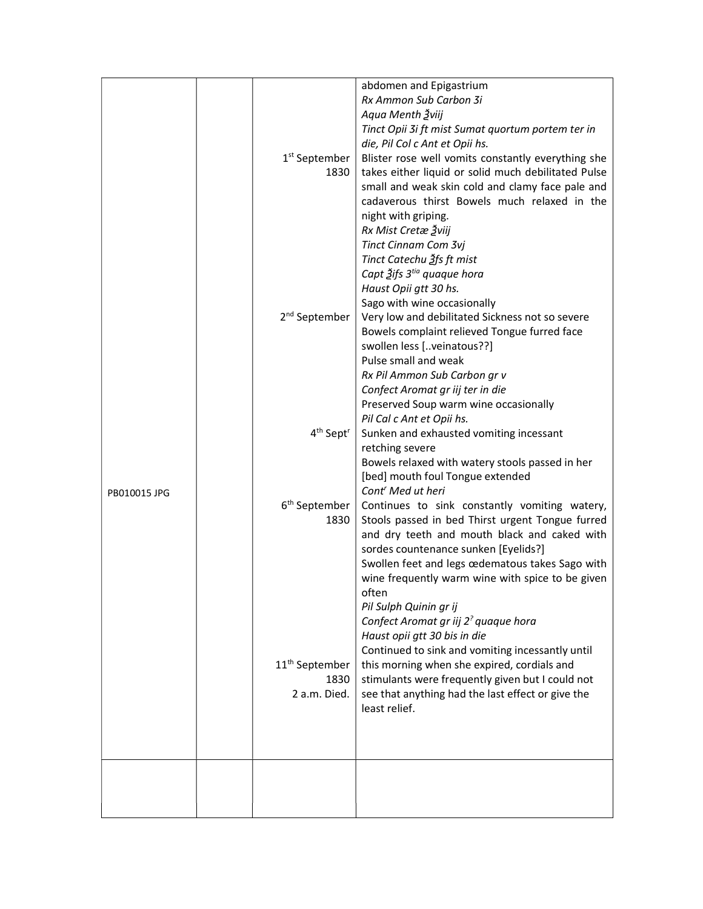|              | 1 <sup>st</sup> September<br>1830                  | abdomen and Epigastrium<br>Rx Ammon Sub Carbon 3i<br>Aqua Menth Žviij<br>Tinct Opii 3i ft mist Sumat quortum portem ter in<br>die, Pil Col c Ant et Opii hs.<br>Blister rose well vomits constantly everything she<br>takes either liquid or solid much debilitated Pulse                                                               |
|--------------|----------------------------------------------------|-----------------------------------------------------------------------------------------------------------------------------------------------------------------------------------------------------------------------------------------------------------------------------------------------------------------------------------------|
|              |                                                    | small and weak skin cold and clamy face pale and<br>cadaverous thirst Bowels much relaxed in the<br>night with griping.<br>Rx Mist Cretæ Žviij<br>Tinct Cinnam Com 3vj<br>Tinct Catechu Ѯfs ft mist<br>Capt Ѯifs 3 <sup>tia</sup> quaque hora<br>Haust Opii gtt 30 hs.                                                                  |
|              | 2 <sup>nd</sup> September                          | Sago with wine occasionally<br>Very low and debilitated Sickness not so severe<br>Bowels complaint relieved Tongue furred face<br>swollen less [veinatous??]<br>Pulse small and weak<br>Rx Pil Ammon Sub Carbon gr v<br>Confect Aromat gr iij ter in die<br>Preserved Soup warm wine occasionally                                       |
|              | 4 <sup>th</sup> Sept <sup>r</sup>                  | Pil Cal c Ant et Opii hs.<br>Sunken and exhausted vomiting incessant<br>retching severe<br>Bowels relaxed with watery stools passed in her<br>[bed] mouth foul Tongue extended                                                                                                                                                          |
| PB010015 JPG | 6 <sup>th</sup> September<br>1830                  | Cont' Med ut heri<br>Continues to sink constantly vomiting watery,<br>Stools passed in bed Thirst urgent Tongue furred<br>and dry teeth and mouth black and caked with<br>sordes countenance sunken [Eyelids?]<br>Swollen feet and legs œdematous takes Sago with<br>wine frequently warm wine with spice to be given<br>often          |
|              | 11 <sup>th</sup> September<br>1830<br>2 a.m. Died. | Pil Sulph Quinin gr ij<br>Confect Aromat gr iij 2 <sup>?</sup> quaque hora<br>Haust opii gtt 30 bis in die<br>Continued to sink and vomiting incessantly until<br>this morning when she expired, cordials and<br>stimulants were frequently given but I could not<br>see that anything had the last effect or give the<br>least relief. |
|              |                                                    |                                                                                                                                                                                                                                                                                                                                         |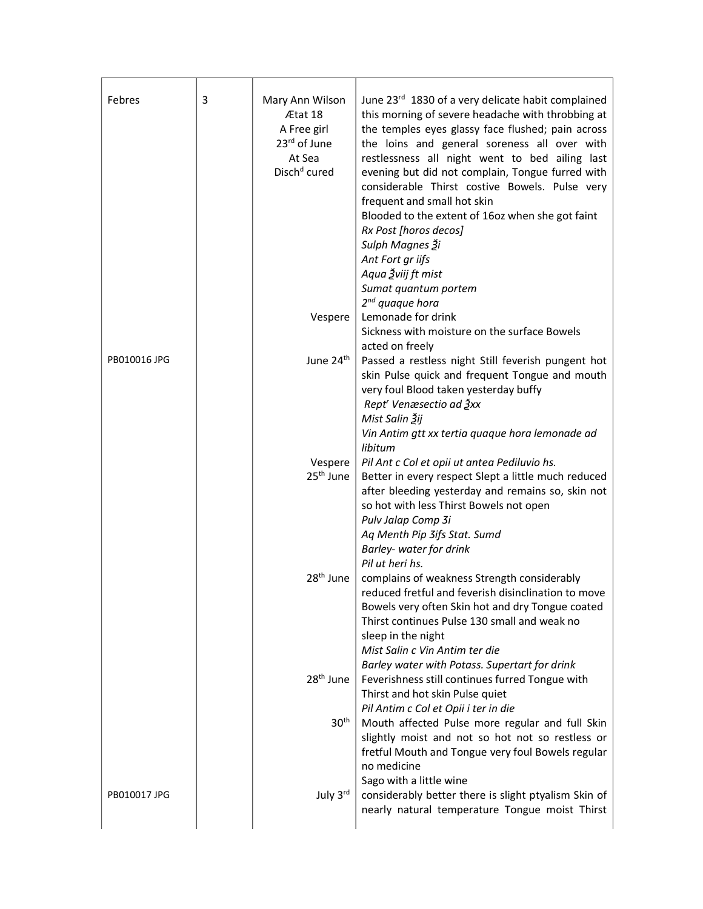| PB010016 JPG | Ætat 18<br>A Free girl<br>23rd of June<br>At Sea<br>Disch <sup>d</sup> cured<br>Vespere<br>June 24 <sup>th</sup><br>Vespere<br>25 <sup>th</sup> June | this morning of severe headache with throbbing at<br>the temples eyes glassy face flushed; pain across<br>the loins and general soreness all over with<br>restlessness all night went to bed ailing last<br>frequent and small hot skin<br>Blooded to the extent of 16oz when she got faint<br>Rx Post [horos decos]<br>Sulph Magnes Ѯi<br>Ant Fort gr iifs<br>Aqua Žviij ft mist<br>Sumat quantum portem<br>$2^{nd}$ quaque hora<br>Lemonade for drink<br>Sickness with moisture on the surface Bowels<br>acted on freely<br>very foul Blood taken yesterday buffy<br>Rept <sup>r</sup> Venæsectio ad Ѯxx<br>Mist Salin Žij<br>Vin Antim gtt xx tertia quaque hora lemonade ad<br>libitum<br>Pil Ant c Col et opii ut antea Pediluvio hs. |
|--------------|------------------------------------------------------------------------------------------------------------------------------------------------------|--------------------------------------------------------------------------------------------------------------------------------------------------------------------------------------------------------------------------------------------------------------------------------------------------------------------------------------------------------------------------------------------------------------------------------------------------------------------------------------------------------------------------------------------------------------------------------------------------------------------------------------------------------------------------------------------------------------------------------------------|
|              |                                                                                                                                                      |                                                                                                                                                                                                                                                                                                                                                                                                                                                                                                                                                                                                                                                                                                                                            |
|              |                                                                                                                                                      |                                                                                                                                                                                                                                                                                                                                                                                                                                                                                                                                                                                                                                                                                                                                            |
|              |                                                                                                                                                      | evening but did not complain, Tongue furred with                                                                                                                                                                                                                                                                                                                                                                                                                                                                                                                                                                                                                                                                                           |
|              |                                                                                                                                                      | considerable Thirst costive Bowels. Pulse very                                                                                                                                                                                                                                                                                                                                                                                                                                                                                                                                                                                                                                                                                             |
|              |                                                                                                                                                      | Passed a restless night Still feverish pungent hot<br>skin Pulse quick and frequent Tongue and mouth                                                                                                                                                                                                                                                                                                                                                                                                                                                                                                                                                                                                                                       |
|              |                                                                                                                                                      |                                                                                                                                                                                                                                                                                                                                                                                                                                                                                                                                                                                                                                                                                                                                            |
|              |                                                                                                                                                      |                                                                                                                                                                                                                                                                                                                                                                                                                                                                                                                                                                                                                                                                                                                                            |
|              |                                                                                                                                                      |                                                                                                                                                                                                                                                                                                                                                                                                                                                                                                                                                                                                                                                                                                                                            |
|              |                                                                                                                                                      |                                                                                                                                                                                                                                                                                                                                                                                                                                                                                                                                                                                                                                                                                                                                            |
|              |                                                                                                                                                      |                                                                                                                                                                                                                                                                                                                                                                                                                                                                                                                                                                                                                                                                                                                                            |
|              |                                                                                                                                                      |                                                                                                                                                                                                                                                                                                                                                                                                                                                                                                                                                                                                                                                                                                                                            |
|              |                                                                                                                                                      |                                                                                                                                                                                                                                                                                                                                                                                                                                                                                                                                                                                                                                                                                                                                            |
|              |                                                                                                                                                      |                                                                                                                                                                                                                                                                                                                                                                                                                                                                                                                                                                                                                                                                                                                                            |
|              |                                                                                                                                                      |                                                                                                                                                                                                                                                                                                                                                                                                                                                                                                                                                                                                                                                                                                                                            |
|              |                                                                                                                                                      |                                                                                                                                                                                                                                                                                                                                                                                                                                                                                                                                                                                                                                                                                                                                            |
|              |                                                                                                                                                      |                                                                                                                                                                                                                                                                                                                                                                                                                                                                                                                                                                                                                                                                                                                                            |
|              |                                                                                                                                                      |                                                                                                                                                                                                                                                                                                                                                                                                                                                                                                                                                                                                                                                                                                                                            |
|              |                                                                                                                                                      |                                                                                                                                                                                                                                                                                                                                                                                                                                                                                                                                                                                                                                                                                                                                            |
|              |                                                                                                                                                      |                                                                                                                                                                                                                                                                                                                                                                                                                                                                                                                                                                                                                                                                                                                                            |
|              |                                                                                                                                                      |                                                                                                                                                                                                                                                                                                                                                                                                                                                                                                                                                                                                                                                                                                                                            |
|              |                                                                                                                                                      |                                                                                                                                                                                                                                                                                                                                                                                                                                                                                                                                                                                                                                                                                                                                            |
|              |                                                                                                                                                      |                                                                                                                                                                                                                                                                                                                                                                                                                                                                                                                                                                                                                                                                                                                                            |
|              |                                                                                                                                                      |                                                                                                                                                                                                                                                                                                                                                                                                                                                                                                                                                                                                                                                                                                                                            |
|              |                                                                                                                                                      |                                                                                                                                                                                                                                                                                                                                                                                                                                                                                                                                                                                                                                                                                                                                            |
|              |                                                                                                                                                      | Better in every respect Slept a little much reduced                                                                                                                                                                                                                                                                                                                                                                                                                                                                                                                                                                                                                                                                                        |
|              |                                                                                                                                                      | after bleeding yesterday and remains so, skin not                                                                                                                                                                                                                                                                                                                                                                                                                                                                                                                                                                                                                                                                                          |
|              |                                                                                                                                                      | so hot with less Thirst Bowels not open                                                                                                                                                                                                                                                                                                                                                                                                                                                                                                                                                                                                                                                                                                    |
|              |                                                                                                                                                      | Pulv Jalap Comp 3i                                                                                                                                                                                                                                                                                                                                                                                                                                                                                                                                                                                                                                                                                                                         |
|              |                                                                                                                                                      | Aq Menth Pip 3ifs Stat. Sumd                                                                                                                                                                                                                                                                                                                                                                                                                                                                                                                                                                                                                                                                                                               |
|              |                                                                                                                                                      | Barley- water for drink                                                                                                                                                                                                                                                                                                                                                                                                                                                                                                                                                                                                                                                                                                                    |
|              |                                                                                                                                                      | Pil ut heri hs.                                                                                                                                                                                                                                                                                                                                                                                                                                                                                                                                                                                                                                                                                                                            |
|              |                                                                                                                                                      | 28 <sup>th</sup> June   complains of weakness Strength considerably                                                                                                                                                                                                                                                                                                                                                                                                                                                                                                                                                                                                                                                                        |
|              |                                                                                                                                                      | reduced fretful and feverish disinclination to move                                                                                                                                                                                                                                                                                                                                                                                                                                                                                                                                                                                                                                                                                        |
|              |                                                                                                                                                      | Bowels very often Skin hot and dry Tongue coated                                                                                                                                                                                                                                                                                                                                                                                                                                                                                                                                                                                                                                                                                           |
|              |                                                                                                                                                      | Thirst continues Pulse 130 small and weak no                                                                                                                                                                                                                                                                                                                                                                                                                                                                                                                                                                                                                                                                                               |
|              |                                                                                                                                                      | sleep in the night                                                                                                                                                                                                                                                                                                                                                                                                                                                                                                                                                                                                                                                                                                                         |
|              |                                                                                                                                                      | Mist Salin c Vin Antim ter die                                                                                                                                                                                                                                                                                                                                                                                                                                                                                                                                                                                                                                                                                                             |
|              |                                                                                                                                                      | Barley water with Potass. Supertart for drink                                                                                                                                                                                                                                                                                                                                                                                                                                                                                                                                                                                                                                                                                              |
|              | $28th$ June                                                                                                                                          | Feverishness still continues furred Tongue with                                                                                                                                                                                                                                                                                                                                                                                                                                                                                                                                                                                                                                                                                            |
|              |                                                                                                                                                      | Thirst and hot skin Pulse quiet                                                                                                                                                                                                                                                                                                                                                                                                                                                                                                                                                                                                                                                                                                            |
|              |                                                                                                                                                      | Pil Antim c Col et Opii i ter in die                                                                                                                                                                                                                                                                                                                                                                                                                                                                                                                                                                                                                                                                                                       |
|              | 30 <sup>th</sup>                                                                                                                                     | Mouth affected Pulse more regular and full Skin                                                                                                                                                                                                                                                                                                                                                                                                                                                                                                                                                                                                                                                                                            |
|              |                                                                                                                                                      | slightly moist and not so hot not so restless or                                                                                                                                                                                                                                                                                                                                                                                                                                                                                                                                                                                                                                                                                           |
|              |                                                                                                                                                      | fretful Mouth and Tongue very foul Bowels regular                                                                                                                                                                                                                                                                                                                                                                                                                                                                                                                                                                                                                                                                                          |
|              |                                                                                                                                                      | no medicine                                                                                                                                                                                                                                                                                                                                                                                                                                                                                                                                                                                                                                                                                                                                |
|              |                                                                                                                                                      | Sago with a little wine                                                                                                                                                                                                                                                                                                                                                                                                                                                                                                                                                                                                                                                                                                                    |
| PB010017 JPG | July 3rd                                                                                                                                             | considerably better there is slight ptyalism Skin of                                                                                                                                                                                                                                                                                                                                                                                                                                                                                                                                                                                                                                                                                       |
|              |                                                                                                                                                      | nearly natural temperature Tongue moist Thirst                                                                                                                                                                                                                                                                                                                                                                                                                                                                                                                                                                                                                                                                                             |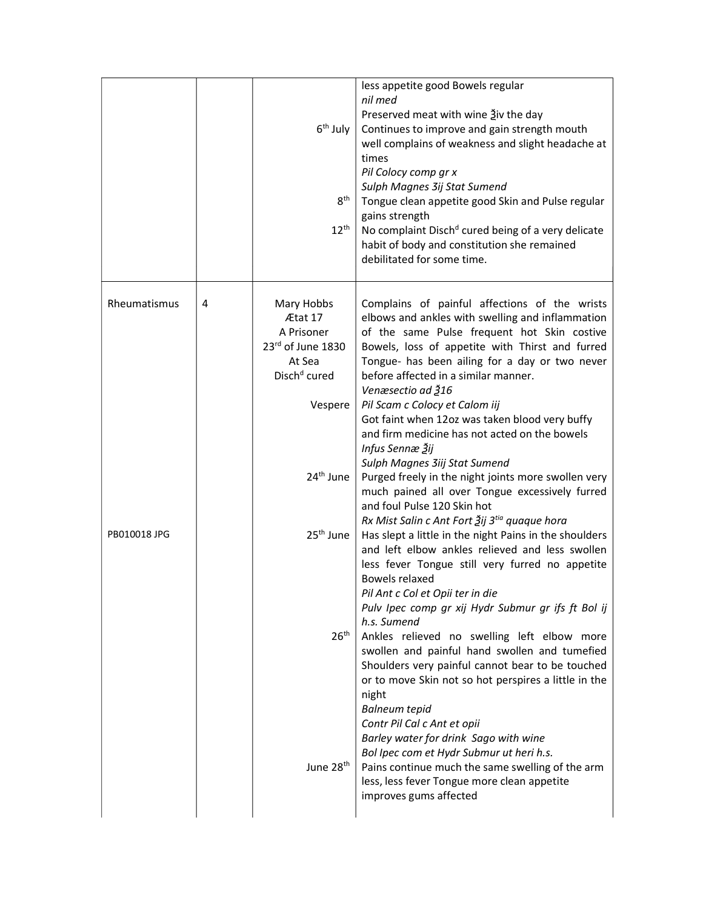|              |   | 6 <sup>th</sup> July<br>8 <sup>th</sup><br>$12^{\text{th}}$                                    | less appetite good Bowels regular<br>nil med<br>Preserved meat with wine 3iv the day<br>Continues to improve and gain strength mouth<br>well complains of weakness and slight headache at<br>times<br>Pil Colocy comp gr x<br>Sulph Magnes 3ij Stat Sumend<br>Tongue clean appetite good Skin and Pulse regular<br>gains strength<br>No complaint Disch <sup>d</sup> cured being of a very delicate<br>habit of body and constitution she remained<br>debilitated for some time. |
|--------------|---|------------------------------------------------------------------------------------------------|----------------------------------------------------------------------------------------------------------------------------------------------------------------------------------------------------------------------------------------------------------------------------------------------------------------------------------------------------------------------------------------------------------------------------------------------------------------------------------|
| Rheumatismus | 4 | Mary Hobbs<br>Ætat 17<br>A Prisoner<br>23rd of June 1830<br>At Sea<br>Disch <sup>d</sup> cured | Complains of painful affections of the wrists<br>elbows and ankles with swelling and inflammation<br>of the same Pulse frequent hot Skin costive<br>Bowels, loss of appetite with Thirst and furred<br>Tongue- has been ailing for a day or two never<br>before affected in a similar manner.<br>Venæsectio ad 316                                                                                                                                                               |
|              |   | Vespere                                                                                        | Pil Scam c Colocy et Calom iij<br>Got faint when 12oz was taken blood very buffy<br>and firm medicine has not acted on the bowels<br>Infus Sennæ Žij<br>Sulph Magnes 3iij Stat Sumend                                                                                                                                                                                                                                                                                            |
| PB010018 JPG |   | 24 <sup>th</sup> June<br>25 <sup>th</sup> June                                                 | Purged freely in the night joints more swollen very<br>much pained all over Tongue excessively furred<br>and foul Pulse 120 Skin hot<br>Rx Mist Salin c Ant Fort Žij 3tia quaque hora<br>Has slept a little in the night Pains in the shoulders<br>and left elbow ankles relieved and less swollen                                                                                                                                                                               |
|              |   | 26 <sup>th</sup>                                                                               | less fever Tongue still very furred no appetite<br>Bowels relaxed<br>Pil Ant c Col et Opii ter in die<br>Pulv Ipec comp gr xij Hydr Submur gr ifs ft Bol ij<br>h.s. Sumend<br>Ankles relieved no swelling left elbow more<br>swollen and painful hand swollen and tumefied<br>Shoulders very painful cannot bear to be touched<br>or to move Skin not so hot perspires a little in the<br>night                                                                                  |
|              |   | June 28 <sup>th</sup>                                                                          | <b>Balneum tepid</b><br>Contr Pil Cal c Ant et opii<br>Barley water for drink Sago with wine<br>Bol Ipec com et Hydr Submur ut heri h.s.<br>Pains continue much the same swelling of the arm<br>less, less fever Tongue more clean appetite<br>improves gums affected                                                                                                                                                                                                            |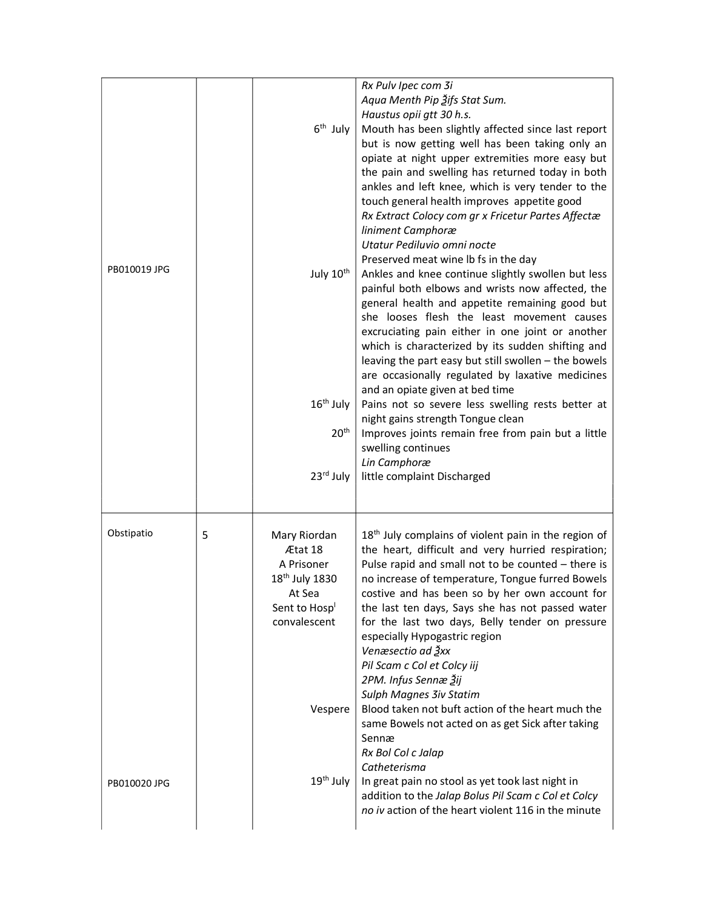| PB010019 JPG               |   | 6 <sup>th</sup> July<br>July 10 <sup>th</sup><br>16 <sup>th</sup> July<br>20 <sup>th</sup><br>23rd July                                                        | Rx Pulv Ipec com 3i<br>Aqua Menth Pip 3ifs Stat Sum.<br>Haustus opii gtt 30 h.s.<br>Mouth has been slightly affected since last report<br>but is now getting well has been taking only an<br>opiate at night upper extremities more easy but<br>the pain and swelling has returned today in both<br>ankles and left knee, which is very tender to the<br>touch general health improves appetite good<br>Rx Extract Colocy com gr x Fricetur Partes Affectæ<br>liniment Camphoræ<br>Utatur Pediluvio omni nocte<br>Preserved meat wine lb fs in the day<br>Ankles and knee continue slightly swollen but less<br>painful both elbows and wrists now affected, the<br>general health and appetite remaining good but<br>she looses flesh the least movement causes<br>excruciating pain either in one joint or another<br>which is characterized by its sudden shifting and<br>leaving the part easy but still swollen - the bowels<br>are occasionally regulated by laxative medicines<br>and an opiate given at bed time<br>Pains not so severe less swelling rests better at<br>night gains strength Tongue clean<br>Improves joints remain free from pain but a little<br>swelling continues<br>Lin Camphoræ<br>little complaint Discharged |
|----------------------------|---|----------------------------------------------------------------------------------------------------------------------------------------------------------------|-----------------------------------------------------------------------------------------------------------------------------------------------------------------------------------------------------------------------------------------------------------------------------------------------------------------------------------------------------------------------------------------------------------------------------------------------------------------------------------------------------------------------------------------------------------------------------------------------------------------------------------------------------------------------------------------------------------------------------------------------------------------------------------------------------------------------------------------------------------------------------------------------------------------------------------------------------------------------------------------------------------------------------------------------------------------------------------------------------------------------------------------------------------------------------------------------------------------------------------------------|
| Obstipatio<br>PB010020 JPG | 5 | Mary Riordan<br>Ætat 18<br>A Prisoner<br>18 <sup>th</sup> July 1830<br>At Sea<br>Sent to Hosp <sup>1</sup><br>convalescent<br>Vespere<br>19 <sup>th</sup> July | 18 <sup>th</sup> July complains of violent pain in the region of<br>the heart, difficult and very hurried respiration;<br>Pulse rapid and small not to be counted - there is<br>no increase of temperature, Tongue furred Bowels<br>costive and has been so by her own account for<br>the last ten days, Says she has not passed water<br>for the last two days, Belly tender on pressure<br>especially Hypogastric region<br>Venæsectio ad Ѯxx<br>Pil Scam c Col et Colcy iij<br>2PM. Infus Sennæ Žij<br>Sulph Magnes 3iv Statim<br>Blood taken not buft action of the heart much the<br>same Bowels not acted on as get Sick after taking<br>Sennæ<br>Rx Bol Col c Jalap<br>Catheterisma<br>In great pain no stool as yet took last night in                                                                                                                                                                                                                                                                                                                                                                                                                                                                                                |
|                            |   |                                                                                                                                                                | addition to the Jalap Bolus Pil Scam c Col et Colcy<br>no iv action of the heart violent 116 in the minute                                                                                                                                                                                                                                                                                                                                                                                                                                                                                                                                                                                                                                                                                                                                                                                                                                                                                                                                                                                                                                                                                                                                    |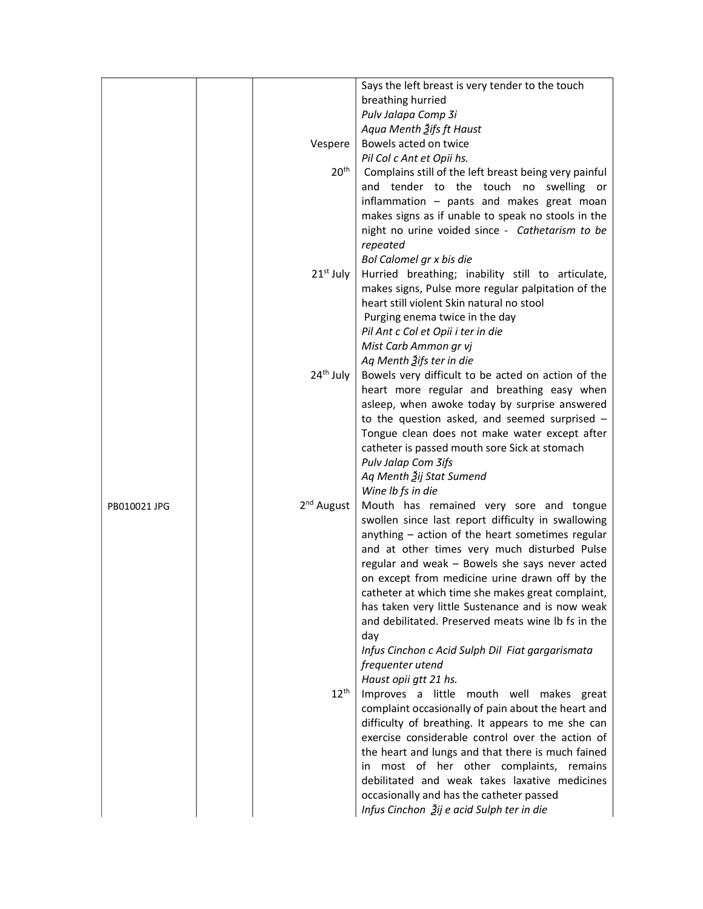|              |  |                        | Says the left breast is very tender to the touch      |  |  |  |
|--------------|--|------------------------|-------------------------------------------------------|--|--|--|
|              |  |                        | breathing hurried                                     |  |  |  |
|              |  |                        |                                                       |  |  |  |
|              |  |                        | Pulv Jalapa Comp 3i                                   |  |  |  |
|              |  |                        | Aqua Menth Žifs ft Haust                              |  |  |  |
|              |  | Vespere                | Bowels acted on twice                                 |  |  |  |
|              |  |                        | Pil Col c Ant et Opii hs.                             |  |  |  |
|              |  | 20 <sup>th</sup>       | Complains still of the left breast being very painful |  |  |  |
|              |  |                        | and tender to the touch no swelling or                |  |  |  |
|              |  |                        | inflammation - pants and makes great moan             |  |  |  |
|              |  |                        | makes signs as if unable to speak no stools in the    |  |  |  |
|              |  |                        | night no urine voided since - Cathetarism to be       |  |  |  |
|              |  |                        |                                                       |  |  |  |
|              |  |                        | repeated                                              |  |  |  |
|              |  | 21 <sup>st</sup> July  | Bol Calomel gr x bis die                              |  |  |  |
|              |  |                        | Hurried breathing; inability still to articulate,     |  |  |  |
|              |  |                        | makes signs, Pulse more regular palpitation of the    |  |  |  |
|              |  |                        | heart still violent Skin natural no stool             |  |  |  |
|              |  |                        | Purging enema twice in the day                        |  |  |  |
|              |  |                        | Pil Ant c Col et Opii i ter in die                    |  |  |  |
|              |  |                        | Mist Carb Ammon gr vj                                 |  |  |  |
|              |  |                        | Aq Menth Ѯifs ter in die                              |  |  |  |
|              |  | 24 <sup>th</sup> July  |                                                       |  |  |  |
|              |  |                        | Bowels very difficult to be acted on action of the    |  |  |  |
|              |  |                        | heart more regular and breathing easy when            |  |  |  |
|              |  |                        | asleep, when awoke today by surprise answered         |  |  |  |
|              |  |                        | to the question asked, and seemed surprised -         |  |  |  |
|              |  |                        | Tongue clean does not make water except after         |  |  |  |
|              |  |                        | catheter is passed mouth sore Sick at stomach         |  |  |  |
|              |  |                        | Pulv Jalap Com 3ifs                                   |  |  |  |
|              |  |                        | Aq Menth Ѯij Stat Sumend                              |  |  |  |
|              |  |                        | Wine Ib fs in die                                     |  |  |  |
| PB010021 JPG |  | 2 <sup>nd</sup> August | Mouth has remained very sore and tongue               |  |  |  |
|              |  |                        | swollen since last report difficulty in swallowing    |  |  |  |
|              |  |                        | anything - action of the heart sometimes regular      |  |  |  |
|              |  |                        | and at other times very much disturbed Pulse          |  |  |  |
|              |  |                        | regular and weak - Bowels she says never acted        |  |  |  |
|              |  |                        |                                                       |  |  |  |
|              |  |                        | on except from medicine urine drawn off by the        |  |  |  |
|              |  |                        | catheter at which time she makes great complaint,     |  |  |  |
|              |  |                        | has taken very little Sustenance and is now weak      |  |  |  |
|              |  |                        | and debilitated. Preserved meats wine Ib fs in the    |  |  |  |
|              |  |                        | day                                                   |  |  |  |
|              |  |                        | Infus Cinchon c Acid Sulph Dil Fiat gargarismata      |  |  |  |
|              |  |                        | frequenter utend                                      |  |  |  |
|              |  |                        | Haust opii gtt 21 hs.                                 |  |  |  |
|              |  | $12^{\text{th}}$       | Improves a little mouth well makes great              |  |  |  |
|              |  |                        | complaint occasionally of pain about the heart and    |  |  |  |
|              |  |                        | difficulty of breathing. It appears to me she can     |  |  |  |
|              |  |                        | exercise considerable control over the action of      |  |  |  |
|              |  |                        |                                                       |  |  |  |
|              |  |                        | the heart and lungs and that there is much fained     |  |  |  |
|              |  |                        | in most of her other complaints, remains              |  |  |  |
|              |  |                        | debilitated and weak takes laxative medicines         |  |  |  |
|              |  |                        | occasionally and has the catheter passed              |  |  |  |
|              |  |                        | Infus Cinchon Žij e acid Sulph ter in die             |  |  |  |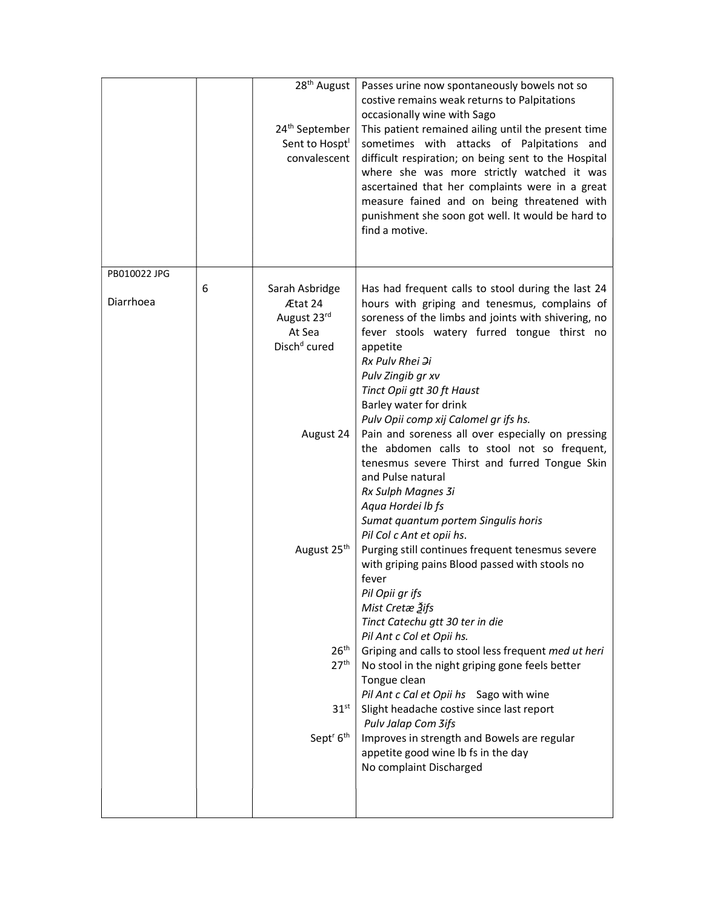|                                | 28 <sup>th</sup> August<br>24 <sup>th</sup> September<br>Sent to Hospt <sup>1</sup><br>convalescent                                                                                                                     | Passes urine now spontaneously bowels not so<br>costive remains weak returns to Palpitations<br>occasionally wine with Sago<br>This patient remained ailing until the present time<br>sometimes with attacks of Palpitations and<br>difficult respiration; on being sent to the Hospital<br>where she was more strictly watched it was<br>ascertained that her complaints were in a great<br>measure fained and on being threatened with<br>punishment she soon got well. It would be hard to<br>find a motive.                                                                                                                                                                                                                                                                                                                                                                                                                                                                                                                                                                                                                                                                                                                              |
|--------------------------------|-------------------------------------------------------------------------------------------------------------------------------------------------------------------------------------------------------------------------|----------------------------------------------------------------------------------------------------------------------------------------------------------------------------------------------------------------------------------------------------------------------------------------------------------------------------------------------------------------------------------------------------------------------------------------------------------------------------------------------------------------------------------------------------------------------------------------------------------------------------------------------------------------------------------------------------------------------------------------------------------------------------------------------------------------------------------------------------------------------------------------------------------------------------------------------------------------------------------------------------------------------------------------------------------------------------------------------------------------------------------------------------------------------------------------------------------------------------------------------|
| PB010022 JPG<br>6<br>Diarrhoea | Sarah Asbridge<br>Ætat 24<br>August 23rd<br>At Sea<br>Disch <sup>d</sup> cured<br>August 24<br>August 25 <sup>th</sup><br>26 <sup>th</sup><br>27 <sup>th</sup><br>31 <sup>st</sup><br>Sept <sup>r</sup> 6 <sup>th</sup> | Has had frequent calls to stool during the last 24<br>hours with griping and tenesmus, complains of<br>soreness of the limbs and joints with shivering, no<br>fever stools watery furred tongue thirst no<br>appetite<br>Rx Pulv Rhei $\Im i$<br>Pulv Zingib gr xv<br>Tinct Opii gtt 30 ft Haust<br>Barley water for drink<br>Pulv Opii comp xij Calomel gr ifs hs.<br>Pain and soreness all over especially on pressing<br>the abdomen calls to stool not so frequent,<br>tenesmus severe Thirst and furred Tongue Skin<br>and Pulse natural<br>Rx Sulph Magnes 3i<br>Aqua Hordei Ib fs<br>Sumat quantum portem Singulis horis<br>Pil Col c Ant et opii hs.<br>Purging still continues frequent tenesmus severe<br>with griping pains Blood passed with stools no<br>fever<br>Pil Opii gr ifs<br>Mist Cretæ Žifs<br>Tinct Catechu gtt 30 ter in die<br>Pil Ant c Col et Opii hs.<br>Griping and calls to stool less frequent med ut heri<br>No stool in the night griping gone feels better<br>Tongue clean<br>Pil Ant c Cal et Opii hs Sago with wine<br>Slight headache costive since last report<br>Pulv Jalap Com 3ifs<br>Improves in strength and Bowels are regular<br>appetite good wine lb fs in the day<br>No complaint Discharged |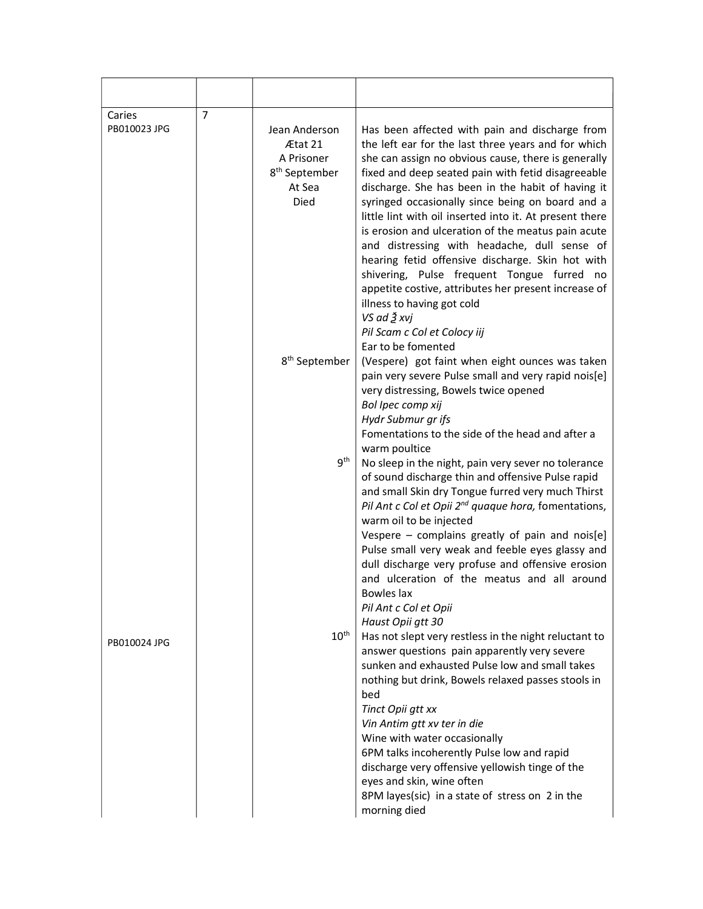| Caries<br>PB010023 JPG | $\overline{7}$ | Jean Anderson<br>Ætat 21<br>A Prisoner<br>8 <sup>th</sup> September<br>At Sea<br>Died | Has been affected with pain and discharge from<br>the left ear for the last three years and for which<br>she can assign no obvious cause, there is generally<br>fixed and deep seated pain with fetid disagreeable<br>discharge. She has been in the habit of having it<br>syringed occasionally since being on board and a<br>little lint with oil inserted into it. At present there<br>is erosion and ulceration of the meatus pain acute<br>and distressing with headache, dull sense of<br>hearing fetid offensive discharge. Skin hot with<br>shivering, Pulse frequent Tongue furred no<br>appetite costive, attributes her present increase of<br>illness to having got cold<br>VS ad Ѯ xvj<br>Pil Scam c Col et Colocy iij                                                   |
|------------------------|----------------|---------------------------------------------------------------------------------------|---------------------------------------------------------------------------------------------------------------------------------------------------------------------------------------------------------------------------------------------------------------------------------------------------------------------------------------------------------------------------------------------------------------------------------------------------------------------------------------------------------------------------------------------------------------------------------------------------------------------------------------------------------------------------------------------------------------------------------------------------------------------------------------|
|                        |                | 8 <sup>th</sup> September<br>9 <sup>th</sup>                                          | Ear to be fomented<br>(Vespere) got faint when eight ounces was taken<br>pain very severe Pulse small and very rapid nois[e]<br>very distressing, Bowels twice opened<br>Bol Ipec comp xij<br>Hydr Submur gr ifs<br>Fomentations to the side of the head and after a<br>warm poultice<br>No sleep in the night, pain very sever no tolerance<br>of sound discharge thin and offensive Pulse rapid<br>and small Skin dry Tongue furred very much Thirst<br>Pil Ant c Col et Opii 2 <sup>nd</sup> quaque hora, fomentations,<br>warm oil to be injected<br>Vespere - complains greatly of pain and nois[e]<br>Pulse small very weak and feeble eyes glassy and<br>dull discharge very profuse and offensive erosion<br>and ulceration of the meatus and all around<br><b>Bowles lax</b> |
| PB010024 JPG           |                | $10^{\text{th}}$                                                                      | Pil Ant c Col et Opii<br>Haust Opii gtt 30<br>Has not slept very restless in the night reluctant to<br>answer questions pain apparently very severe<br>sunken and exhausted Pulse low and small takes<br>nothing but drink, Bowels relaxed passes stools in<br>bed<br>Tinct Opii gtt xx<br>Vin Antim gtt xv ter in die<br>Wine with water occasionally<br>6PM talks incoherently Pulse low and rapid<br>discharge very offensive yellowish tinge of the<br>eyes and skin, wine often<br>8PM layes(sic) in a state of stress on 2 in the<br>morning died                                                                                                                                                                                                                               |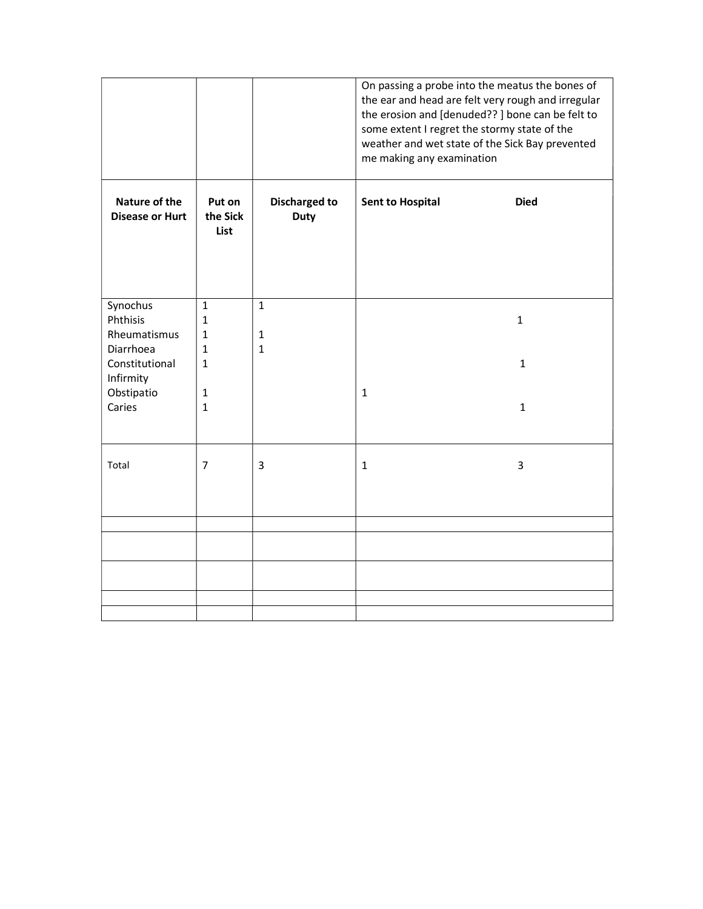|                                         |                              |                                     | On passing a probe into the meatus the bones of<br>the ear and head are felt very rough and irregular<br>the erosion and [denuded??] bone can be felt to<br>some extent I regret the stormy state of the<br>weather and wet state of the Sick Bay prevented<br>me making any examination |  |  |
|-----------------------------------------|------------------------------|-------------------------------------|------------------------------------------------------------------------------------------------------------------------------------------------------------------------------------------------------------------------------------------------------------------------------------------|--|--|
| Nature of the<br><b>Disease or Hurt</b> | Put on<br>the Sick<br>List   | <b>Discharged to</b><br><b>Duty</b> | <b>Sent to Hospital</b><br><b>Died</b>                                                                                                                                                                                                                                                   |  |  |
| Synochus<br>Phthisis                    | $\mathbf{1}$<br>1            | $\mathbf{1}$                        | $\mathbf{1}$                                                                                                                                                                                                                                                                             |  |  |
| Rheumatismus                            | $\mathbf{1}$                 | $\mathbf{1}$                        |                                                                                                                                                                                                                                                                                          |  |  |
| Diarrhoea                               | $\mathbf{1}$                 | $\mathbf{1}$                        |                                                                                                                                                                                                                                                                                          |  |  |
| Constitutional                          | $\mathbf{1}$                 |                                     | $\mathbf{1}$                                                                                                                                                                                                                                                                             |  |  |
| Infirmity                               |                              |                                     |                                                                                                                                                                                                                                                                                          |  |  |
| Obstipatio<br>Caries                    | $\mathbf{1}$<br>$\mathbf{1}$ |                                     | $\mathbf{1}$<br>$\mathbf{1}$                                                                                                                                                                                                                                                             |  |  |
| Total                                   | 7                            | 3                                   | 3<br>1                                                                                                                                                                                                                                                                                   |  |  |
|                                         |                              |                                     |                                                                                                                                                                                                                                                                                          |  |  |
|                                         |                              |                                     |                                                                                                                                                                                                                                                                                          |  |  |
|                                         |                              |                                     |                                                                                                                                                                                                                                                                                          |  |  |
|                                         |                              |                                     |                                                                                                                                                                                                                                                                                          |  |  |
|                                         |                              |                                     |                                                                                                                                                                                                                                                                                          |  |  |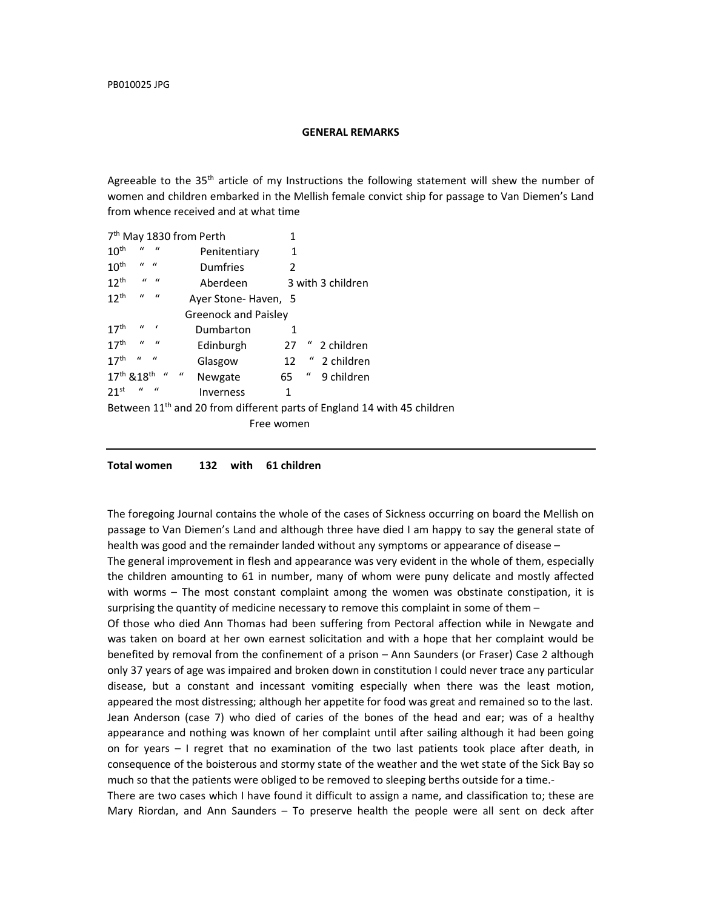## GENERAL REMARKS

Agreeable to the  $35<sup>th</sup>$  article of my Instructions the following statement will shew the number of women and children embarked in the Mellish female convict ship for passage to Van Diemen's Land from whence received and at what time

| 7 <sup>th</sup> May 1830 from Perth<br>1 |                             |                           |                               |           |            |    |                  |                                                                                     |
|------------------------------------------|-----------------------------|---------------------------|-------------------------------|-----------|------------|----|------------------|-------------------------------------------------------------------------------------|
| 10 <sup>th</sup>                         | $\mathcal{U}$               | $\overline{u}$            | Penitentiary<br>1             |           |            |    |                  |                                                                                     |
| 10 <sup>th</sup>                         | $\mathbf{u}$ $\mathbf{u}$   |                           | Dumfries<br>2                 |           |            |    |                  |                                                                                     |
| $12^{th}$                                |                             | $\mathbf{u}$ $\mathbf{u}$ | Aberdeen<br>3 with 3 children |           |            |    |                  |                                                                                     |
| $12^{th}$                                | $\boldsymbol{u}$            | $\overline{u}$            | Ayer Stone-Haven, 5           |           |            |    |                  |                                                                                     |
|                                          | <b>Greenock and Paisley</b> |                           |                               |           |            |    |                  |                                                                                     |
| 17 <sup>th</sup>                         | $\mathcal{U}$               |                           |                               | Dumbarton |            | 1  |                  |                                                                                     |
| 17 <sup>th</sup>                         | $\boldsymbol{u}$            | $\overline{u}$            |                               | Edinburgh |            | 27 |                  | 2 children                                                                          |
| 17 <sup>th</sup>                         | $\boldsymbol{u}$            | $\overline{u}$            |                               | Glasgow   |            |    | $12$ "           | 2 children                                                                          |
| 17th & 18th "                            |                             |                           | $\boldsymbol{u}$              | Newgate   |            | 65 | $\boldsymbol{u}$ | 9 children                                                                          |
| 21 <sup>st</sup>                         | $\iota$                     | $\bf{u}$                  |                               | Inverness |            | 1  |                  |                                                                                     |
|                                          |                             |                           |                               |           |            |    |                  | Between 11 <sup>th</sup> and 20 from different parts of England 14 with 45 children |
|                                          |                             |                           |                               |           | Free women |    |                  |                                                                                     |
|                                          |                             |                           |                               |           |            |    |                  |                                                                                     |

Total women 132 with 61 children

The foregoing Journal contains the whole of the cases of Sickness occurring on board the Mellish on passage to Van Diemen's Land and although three have died I am happy to say the general state of health was good and the remainder landed without any symptoms or appearance of disease –

The general improvement in flesh and appearance was very evident in the whole of them, especially the children amounting to 61 in number, many of whom were puny delicate and mostly affected with worms – The most constant complaint among the women was obstinate constipation, it is surprising the quantity of medicine necessary to remove this complaint in some of them  $-$ 

Of those who died Ann Thomas had been suffering from Pectoral affection while in Newgate and was taken on board at her own earnest solicitation and with a hope that her complaint would be benefited by removal from the confinement of a prison – Ann Saunders (or Fraser) Case 2 although only 37 years of age was impaired and broken down in constitution I could never trace any particular disease, but a constant and incessant vomiting especially when there was the least motion, appeared the most distressing; although her appetite for food was great and remained so to the last. Jean Anderson (case 7) who died of caries of the bones of the head and ear; was of a healthy appearance and nothing was known of her complaint until after sailing although it had been going on for years – I regret that no examination of the two last patients took place after death, in consequence of the boisterous and stormy state of the weather and the wet state of the Sick Bay so much so that the patients were obliged to be removed to sleeping berths outside for a time.-

There are two cases which I have found it difficult to assign a name, and classification to; these are Mary Riordan, and Ann Saunders – To preserve health the people were all sent on deck after